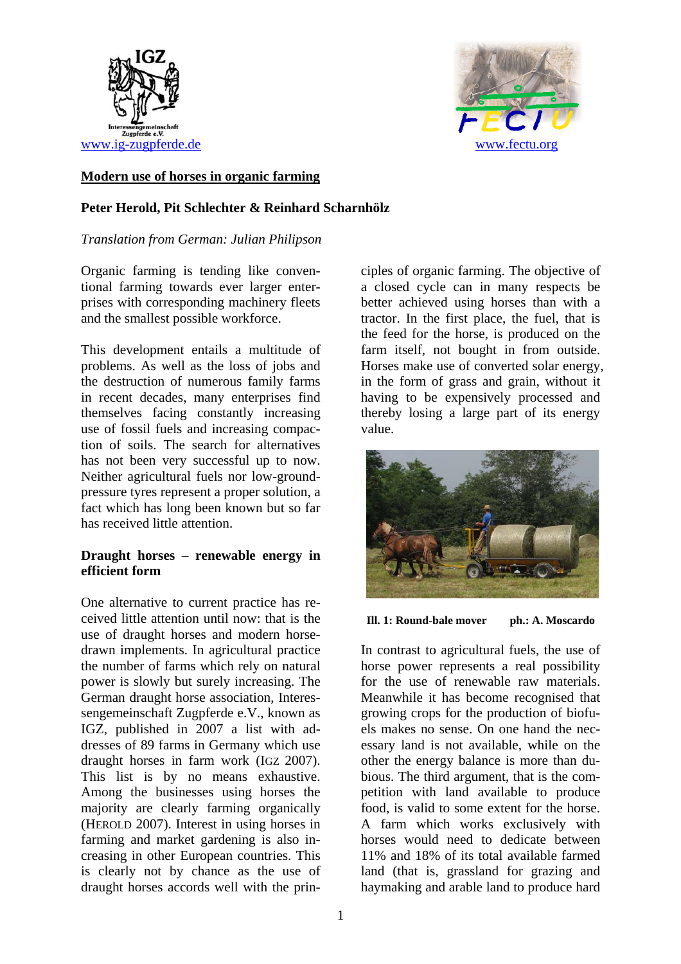



# **Modern use of horses in organic farming**

# **Peter Herold, Pit Schlechter & Reinhard Scharnhölz**

## *Translation from German: Julian Philipson*

Organic farming is tending like conventional farming towards ever larger enterprises with corresponding machinery fleets and the smallest possible workforce.

This development entails a multitude of problems. As well as the loss of jobs and the destruction of numerous family farms in recent decades, many enterprises find themselves facing constantly increasing use of fossil fuels and increasing compaction of soils. The search for alternatives has not been very successful up to now. Neither agricultural fuels nor low-groundpressure tyres represent a proper solution, a fact which has long been known but so far has received little attention.

# **Draught horses – renewable energy in efficient form**

One alternative to current practice has received little attention until now: that is the use of draught horses and modern horsedrawn implements. In agricultural practice the number of farms which rely on natural power is slowly but surely increasing. The German draught horse association, Interessengemeinschaft Zugpferde e.V., known as IGZ, published in 2007 a list with addresses of 89 farms in Germany which use draught horses in farm work (IGZ 2007). This list is by no means exhaustive. Among the businesses using horses the majority are clearly farming organically (HEROLD 2007). Interest in using horses in farming and market gardening is also increasing in other European countries. This is clearly not by chance as the use of draught horses accords well with the prin-

ciples of organic farming. The objective of a closed cycle can in many respects be better achieved using horses than with a tractor. In the first place, the fuel, that is the feed for the horse, is produced on the farm itself, not bought in from outside. Horses make use of converted solar energy, in the form of grass and grain, without it having to be expensively processed and thereby losing a large part of its energy value.



**Ill. 1: Round-bale mover ph.: A. Moscardo** 

In contrast to agricultural fuels, the use of horse power represents a real possibility for the use of renewable raw materials. Meanwhile it has become recognised that growing crops for the production of biofuels makes no sense. On one hand the necessary land is not available, while on the other the energy balance is more than dubious. The third argument, that is the competition with land available to produce food, is valid to some extent for the horse. A farm which works exclusively with horses would need to dedicate between 11% and 18% of its total available farmed land (that is, grassland for grazing and haymaking and arable land to produce hard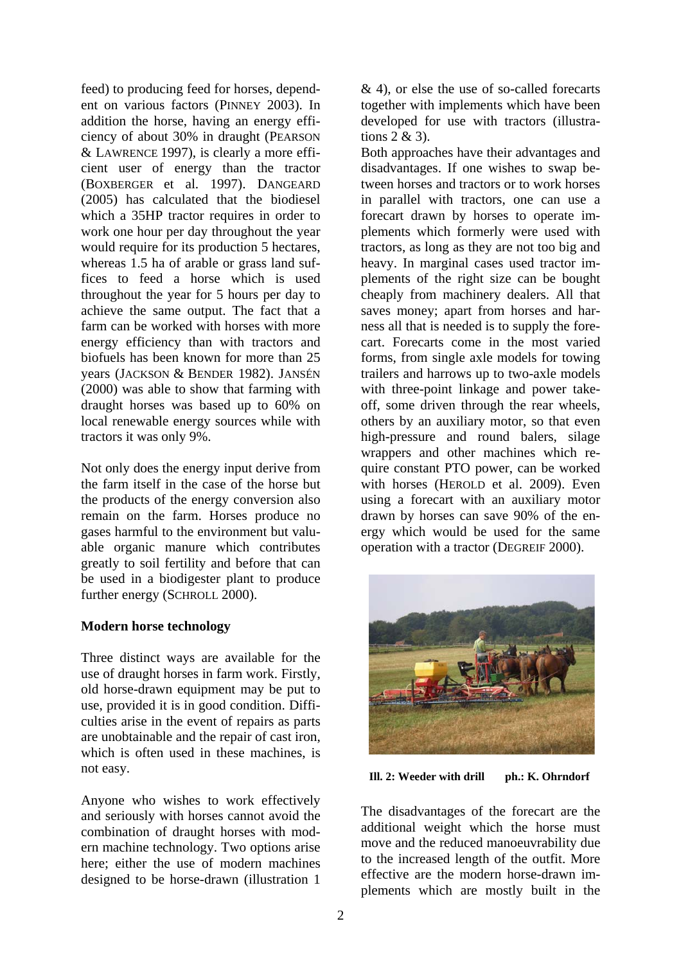feed) to producing feed for horses, dependent on various factors (PINNEY 2003). In addition the horse, having an energy efficiency of about 30% in draught (PEARSON & LAWRENCE 1997), is clearly a more efficient user of energy than the tractor (BOXBERGER et al. 1997). DANGEARD (2005) has calculated that the biodiesel which a 35HP tractor requires in order to work one hour per day throughout the year would require for its production 5 hectares. whereas 1.5 ha of arable or grass land suffices to feed a horse which is used throughout the year for 5 hours per day to achieve the same output. The fact that a farm can be worked with horses with more energy efficiency than with tractors and biofuels has been known for more than 25 years (JACKSON & BENDER 1982). JANSÉN (2000) was able to show that farming with draught horses was based up to 60% on local renewable energy sources while with tractors it was only 9%.

Not only does the energy input derive from the farm itself in the case of the horse but the products of the energy conversion also remain on the farm. Horses produce no gases harmful to the environment but valuable organic manure which contributes greatly to soil fertility and before that can be used in a biodigester plant to produce further energy (SCHROLL 2000).

# **Modern horse technology**

Three distinct ways are available for the use of draught horses in farm work. Firstly, old horse-drawn equipment may be put to use, provided it is in good condition. Difficulties arise in the event of repairs as parts are unobtainable and the repair of cast iron, which is often used in these machines, is not easy.

Anyone who wishes to work effectively and seriously with horses cannot avoid the combination of draught horses with modern machine technology. Two options arise here; either the use of modern machines designed to be horse-drawn (illustration 1

 $& 4$ ), or else the use of so-called forecarts together with implements which have been developed for use with tractors (illustrations 2 & 3).

Both approaches have their advantages and disadvantages. If one wishes to swap between horses and tractors or to work horses in parallel with tractors, one can use a forecart drawn by horses to operate implements which formerly were used with tractors, as long as they are not too big and heavy. In marginal cases used tractor implements of the right size can be bought cheaply from machinery dealers. All that saves money; apart from horses and harness all that is needed is to supply the forecart. Forecarts come in the most varied forms, from single axle models for towing trailers and harrows up to two-axle models with three-point linkage and power takeoff, some driven through the rear wheels, others by an auxiliary motor, so that even high-pressure and round balers, silage wrappers and other machines which require constant PTO power, can be worked with horses (HEROLD et al. 2009). Even using a forecart with an auxiliary motor drawn by horses can save 90% of the energy which would be used for the same operation with a tractor (DEGREIF 2000).



**Ill. 2: Weeder with drill ph.: K. Ohrndorf**

The disadvantages of the forecart are the additional weight which the horse must move and the reduced manoeuvrability due to the increased length of the outfit. More effective are the modern horse-drawn implements which are mostly built in the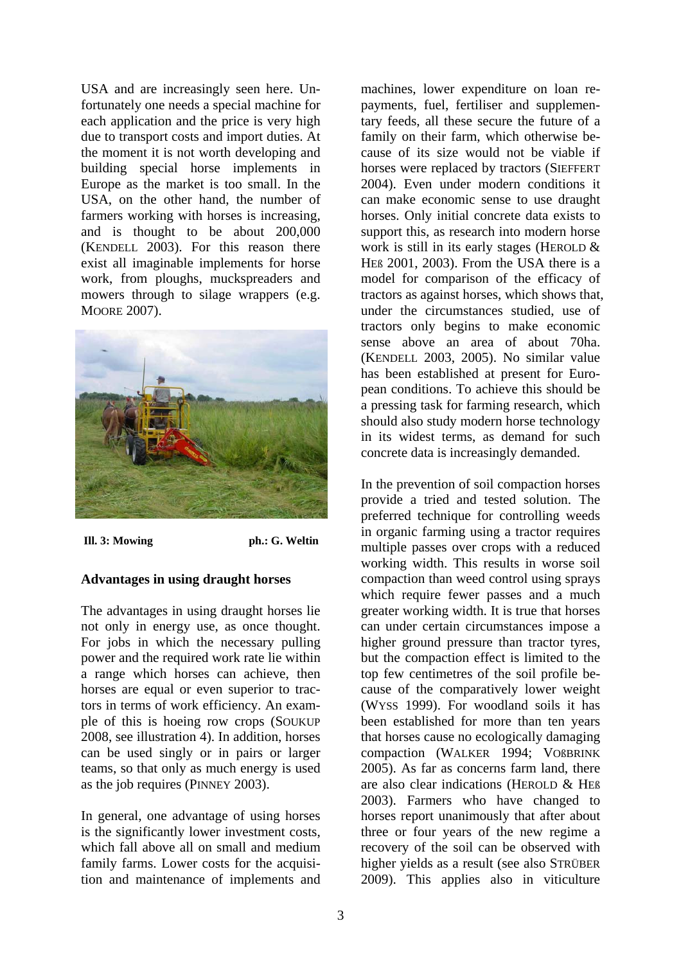USA and are increasingly seen here. Unfortunately one needs a special machine for each application and the price is very high due to transport costs and import duties. At the moment it is not worth developing and building special horse implements in Europe as the market is too small. In the USA, on the other hand, the number of farmers working with horses is increasing, and is thought to be about 200,000 (KENDELL 2003). For this reason there exist all imaginable implements for horse work, from ploughs, muckspreaders and mowers through to silage wrappers (e.g. MOORE 2007).



**Ill. 3: Mowing ph.: G. Weltin** 

#### **Advantages in using draught horses**

The advantages in using draught horses lie not only in energy use, as once thought. For jobs in which the necessary pulling power and the required work rate lie within a range which horses can achieve, then horses are equal or even superior to tractors in terms of work efficiency. An example of this is hoeing row crops (SOUKUP 2008, see illustration 4). In addition, horses can be used singly or in pairs or larger teams, so that only as much energy is used as the job requires (PINNEY 2003).

In general, one advantage of using horses is the significantly lower investment costs, which fall above all on small and medium family farms. Lower costs for the acquisition and maintenance of implements and

machines, lower expenditure on loan repayments, fuel, fertiliser and supplementary feeds, all these secure the future of a family on their farm, which otherwise because of its size would not be viable if horses were replaced by tractors (SIEFFERT 2004). Even under modern conditions it can make economic sense to use draught horses. Only initial concrete data exists to support this, as research into modern horse work is still in its early stages (HEROLD & HEß 2001, 2003). From the USA there is a model for comparison of the efficacy of tractors as against horses, which shows that, under the circumstances studied, use of tractors only begins to make economic sense above an area of about 70ha. (KENDELL 2003, 2005). No similar value has been established at present for European conditions. To achieve this should be a pressing task for farming research, which should also study modern horse technology in its widest terms, as demand for such concrete data is increasingly demanded.

In the prevention of soil compaction horses provide a tried and tested solution. The preferred technique for controlling weeds in organic farming using a tractor requires multiple passes over crops with a reduced working width. This results in worse soil compaction than weed control using sprays which require fewer passes and a much greater working width. It is true that horses can under certain circumstances impose a higher ground pressure than tractor tyres, but the compaction effect is limited to the top few centimetres of the soil profile because of the comparatively lower weight (WYSS 1999). For woodland soils it has been established for more than ten years that horses cause no ecologically damaging compaction (WALKER 1994; VOßBRINK 2005). As far as concerns farm land, there are also clear indications (HEROLD & HEß 2003). Farmers who have changed to horses report unanimously that after about three or four years of the new regime a recovery of the soil can be observed with higher yields as a result (see also STRÜBER 2009). This applies also in viticulture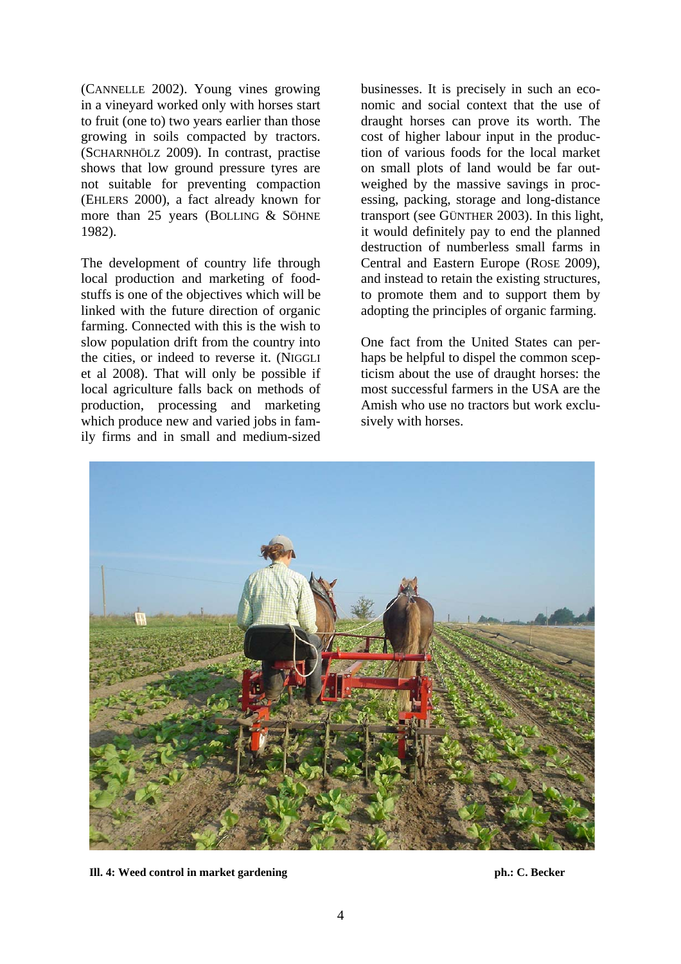(CANNELLE 2002). Young vines growing in a vineyard worked only with horses start to fruit (one to) two years earlier than those growing in soils compacted by tractors. (SCHARNHÖLZ 2009). In contrast, practise shows that low ground pressure tyres are not suitable for preventing compaction (EHLERS 2000), a fact already known for more than 25 years (BOLLING & SÖHNE 1982).

The development of country life through local production and marketing of foodstuffs is one of the objectives which will be linked with the future direction of organic farming. Connected with this is the wish to slow population drift from the country into the cities, or indeed to reverse it. (NIGGLI et al 2008). That will only be possible if local agriculture falls back on methods of production, processing and marketing which produce new and varied jobs in family firms and in small and medium-sized

businesses. It is precisely in such an economic and social context that the use of draught horses can prove its worth. The cost of higher labour input in the production of various foods for the local market on small plots of land would be far outweighed by the massive savings in processing, packing, storage and long-distance transport (see GÜNTHER 2003). In this light, it would definitely pay to end the planned destruction of numberless small farms in Central and Eastern Europe (ROSE 2009), and instead to retain the existing structures, to promote them and to support them by adopting the principles of organic farming.

One fact from the United States can perhaps be helpful to dispel the common scepticism about the use of draught horses: the most successful farmers in the USA are the Amish who use no tractors but work exclusively with horses.



**III. 4: Weed control in market gardening the control in the set of the control in market gardening ph.: C. Becker**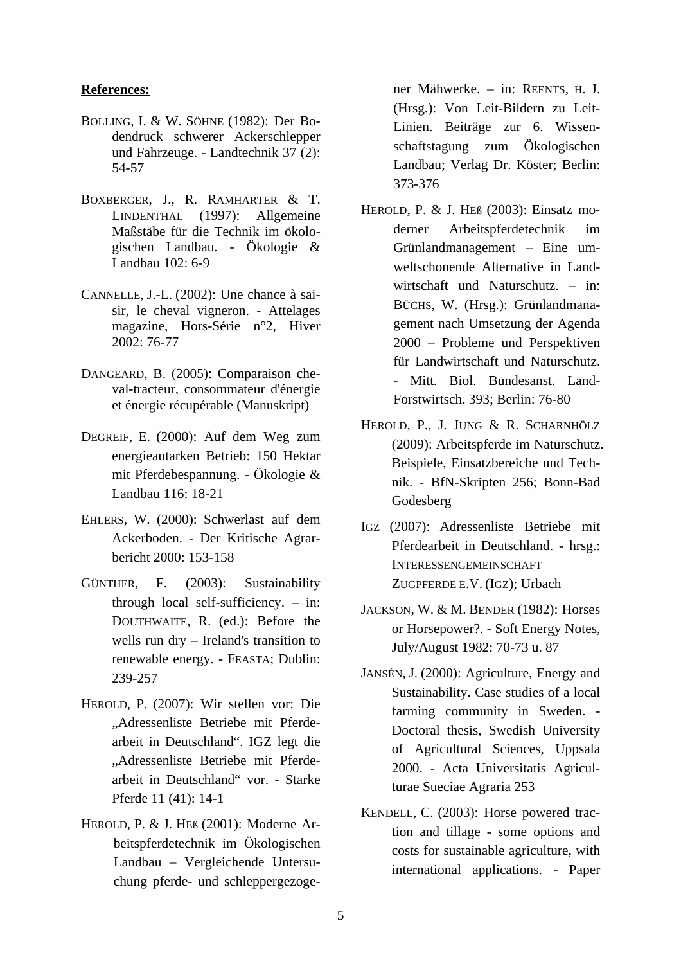## **References:**

- BOLLING, I. & W. SÖHNE (1982): Der Bodendruck schwerer Ackerschlepper und Fahrzeuge. - Landtechnik 37 (2): 54-57
- BOXBERGER, J., R. RAMHARTER & T. LINDENTHAL (1997): Allgemeine Maßstäbe für die Technik im ökologischen Landbau. - Ökologie & Landbau 102: 6-9
- CANNELLE, J.-L. (2002): Une chance à saisir, le cheval vigneron. - Attelages magazine, Hors-Série n°2, Hiver 2002: 76-77
- DANGEARD, B. (2005): Comparaison cheval-tracteur, consommateur d'énergie et énergie récupérable (Manuskript)
- DEGREIF, E. (2000): Auf dem Weg zum energieautarken Betrieb: 150 Hektar mit Pferdebespannung. - Ökologie & Landbau 116: 18-21
- EHLERS, W. (2000): Schwerlast auf dem Ackerboden. - Der Kritische Agrarbericht 2000: 153-158
- GÜNTHER, F. (2003): Sustainability through local self-sufficiency. – in: DOUTHWAITE, R. (ed.): Before the wells run dry – Ireland's transition to renewable energy. - FEASTA; Dublin: 239-257
- HEROLD, P. (2007): Wir stellen vor: Die "Adressenliste Betriebe mit Pferdearbeit in Deutschland". IGZ legt die "Adressenliste Betriebe mit Pferdearbeit in Deutschland" vor. - Starke Pferde 11 (41): 14-1
- HEROLD, P. & J. HEß (2001): Moderne Arbeitspferdetechnik im Ökologischen Landbau – Vergleichende Untersuchung pferde- und schleppergezoge-

ner Mähwerke. – in: REENTS, H. J. (Hrsg.): Von Leit-Bildern zu Leit-Linien. Beiträge zur 6. Wissenschaftstagung zum Ökologischen Landbau; Verlag Dr. Köster; Berlin: 373-376

- HEROLD, P. & J. HEß (2003): Einsatz moderner Arbeitspferdetechnik im Grünlandmanagement – Eine umweltschonende Alternative in Landwirtschaft und Naturschutz. – in: BÜCHS, W. (Hrsg.): Grünlandmanagement nach Umsetzung der Agenda 2000 – Probleme und Perspektiven für Landwirtschaft und Naturschutz. - Mitt. Biol. Bundesanst. Land-Forstwirtsch. 393; Berlin: 76-80
- HEROLD, P., J. JUNG & R. SCHARNHÖLZ (2009): Arbeitspferde im Naturschutz. Beispiele, Einsatzbereiche und Technik. - BfN-Skripten 256; Bonn-Bad Godesberg
- IGZ (2007): Adressenliste Betriebe mit Pferdearbeit in Deutschland. - hrsg.: INTERESSENGEMEINSCHAFT ZUGPFERDE E.V. (IGZ); Urbach
- JACKSON, W. & M. BENDER (1982): Horses or Horsepower?. - Soft Energy Notes, July/August 1982: 70-73 u. 87
- JANSÉN, J. (2000): Agriculture, Energy and Sustainability. Case studies of a local farming community in Sweden. - Doctoral thesis, Swedish University of Agricultural Sciences, Uppsala 2000. - Acta Universitatis Agriculturae Sueciae Agraria 253
- KENDELL, C. (2003): Horse powered traction and tillage - some options and costs for sustainable agriculture, with international applications. - Paper